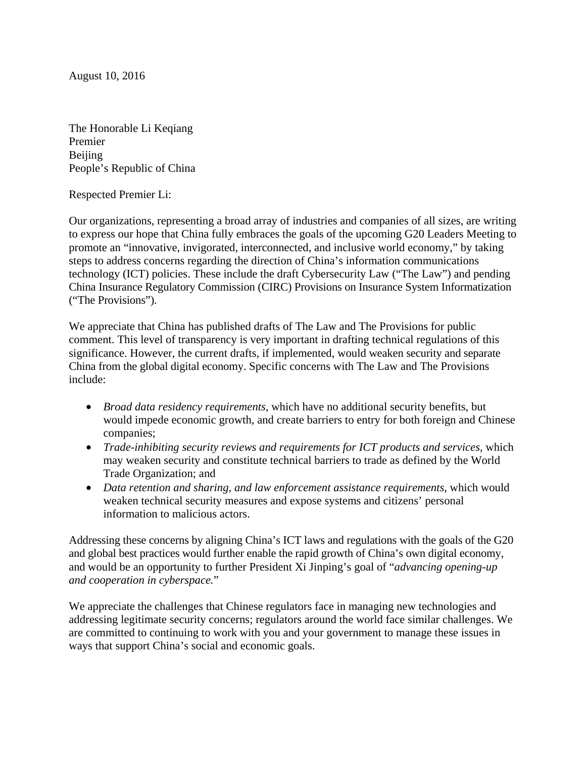August 10, 2016

The Honorable Li Keqiang Premier **Beijing** People's Republic of China

Respected Premier Li:

Our organizations, representing a broad array of industries and companies of all sizes, are writing to express our hope that China fully embraces the goals of the upcoming G20 Leaders Meeting to promote an "innovative, invigorated, interconnected, and inclusive world economy," by taking steps to address concerns regarding the direction of China's information communications technology (ICT) policies. These include the draft Cybersecurity Law ("The Law") and pending China Insurance Regulatory Commission (CIRC) Provisions on Insurance System Informatization ("The Provisions").

We appreciate that China has published drafts of The Law and The Provisions for public comment. This level of transparency is very important in drafting technical regulations of this significance. However, the current drafts, if implemented, would weaken security and separate China from the global digital economy. Specific concerns with The Law and The Provisions include:

- *Broad data residency requirements*, which have no additional security benefits, but would impede economic growth, and create barriers to entry for both foreign and Chinese companies;
- *Trade-inhibiting security reviews and requirements for ICT products and services,* which may weaken security and constitute technical barriers to trade as defined by the World Trade Organization; and
- *Data retention and sharing, and law enforcement assistance requirements*, which would weaken technical security measures and expose systems and citizens' personal information to malicious actors.

Addressing these concerns by aligning China's ICT laws and regulations with the goals of the G20 and global best practices would further enable the rapid growth of China's own digital economy, and would be an opportunity to further President Xi Jinping's goal of "*advancing opening-up and cooperation in cyberspace.*"

We appreciate the challenges that Chinese regulators face in managing new technologies and addressing legitimate security concerns; regulators around the world face similar challenges. We are committed to continuing to work with you and your government to manage these issues in ways that support China's social and economic goals.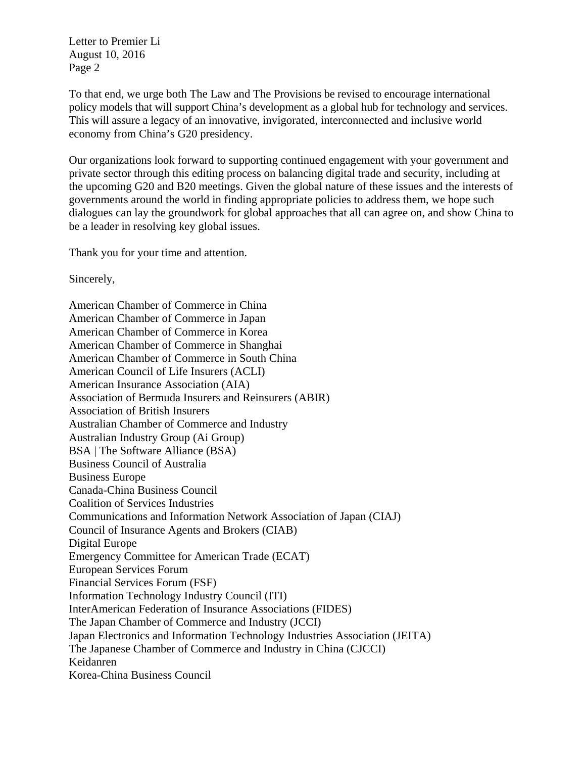Letter to Premier Li August 10, 2016 Page 2

To that end, we urge both The Law and The Provisions be revised to encourage international policy models that will support China's development as a global hub for technology and services. This will assure a legacy of an innovative, invigorated, interconnected and inclusive world economy from China's G20 presidency.

Our organizations look forward to supporting continued engagement with your government and private sector through this editing process on balancing digital trade and security, including at the upcoming G20 and B20 meetings. Given the global nature of these issues and the interests of governments around the world in finding appropriate policies to address them, we hope such dialogues can lay the groundwork for global approaches that all can agree on, and show China to be a leader in resolving key global issues.

Thank you for your time and attention.

Sincerely,

American Chamber of Commerce in China American Chamber of Commerce in Japan American Chamber of Commerce in Korea American Chamber of Commerce in Shanghai American Chamber of Commerce in South China American Council of Life Insurers (ACLI) American Insurance Association (AIA) Association of Bermuda Insurers and Reinsurers (ABIR) Association of British Insurers Australian Chamber of Commerce and Industry Australian Industry Group (Ai Group) BSA | The Software Alliance (BSA) Business Council of Australia Business Europe Canada-China Business Council Coalition of Services Industries Communications and Information Network Association of Japan (CIAJ) Council of Insurance Agents and Brokers (CIAB) Digital Europe Emergency Committee for American Trade (ECAT) European Services Forum Financial Services Forum (FSF) Information Technology Industry Council (ITI) InterAmerican Federation of Insurance Associations (FIDES) The Japan Chamber of Commerce and Industry (JCCI) Japan Electronics and Information Technology Industries Association (JEITA) The Japanese Chamber of Commerce and Industry in China (CJCCI) Keidanren Korea-China Business Council